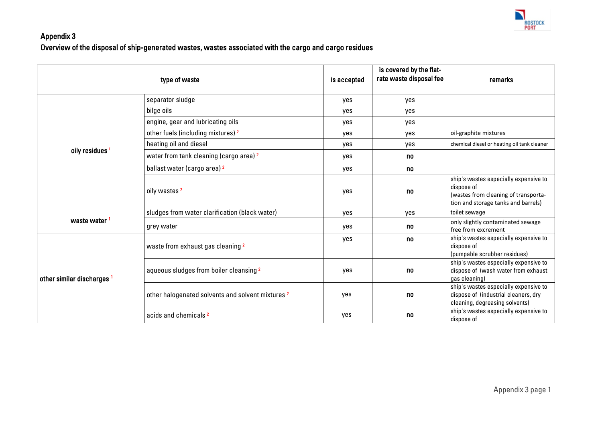

## Appendix 3 Overview of the disposal of ship-generated wastes, wastes associated with the cargo and cargo residues

|                                       | type of waste                                                | is accepted | is covered by the flat-<br>rate waste disposal fee | remarks                                                                                                                            |
|---------------------------------------|--------------------------------------------------------------|-------------|----------------------------------------------------|------------------------------------------------------------------------------------------------------------------------------------|
|                                       | separator sludge                                             | yes         | yes                                                |                                                                                                                                    |
|                                       | bilge oils                                                   | yes         | yes                                                |                                                                                                                                    |
|                                       | engine, gear and lubricating oils                            | yes         | yes                                                |                                                                                                                                    |
|                                       | other fuels (including mixtures) 2                           | yes         | yes                                                | oil-graphite mixtures                                                                                                              |
|                                       | heating oil and diesel                                       | yes         | yes                                                | chemical diesel or heating oil tank cleaner                                                                                        |
| oily residues                         | water from tank cleaning (cargo area) 2                      | yes         | no                                                 |                                                                                                                                    |
|                                       | ballast water (cargo area) <sup>2</sup>                      | yes         | no                                                 |                                                                                                                                    |
|                                       | oily wastes <sup>2</sup>                                     | yes         | no                                                 | ship's wastes especially expensive to<br>dispose of<br>(wastes from cleaning of transporta-<br>tion and storage tanks and barrels) |
| waste water                           | sludges from water clarification (black water)               | yes         | yes                                                | toilet sewage                                                                                                                      |
|                                       | grey water                                                   | yes         | no                                                 | only slightly contaminated sewage<br>free from excrement                                                                           |
| other similar discharges <sup>1</sup> | waste from exhaust gas cleaning 2                            | yes         | no                                                 | ship's wastes especially expensive to<br>dispose of<br>(pumpable scrubber residues)                                                |
|                                       | aqueous sludges from boiler cleansing <sup>2</sup>           | yes         | no                                                 | ship's wastes especially expensive to<br>dispose of (wash water from exhaust<br>gas cleaning)                                      |
|                                       | other halogenated solvents and solvent mixtures <sup>2</sup> | yes         | no                                                 | ship's wastes especially expensive to<br>dispose of (industrial cleaners, dry<br>cleaning, degreasing solvents)                    |
|                                       | acids and chemicals <sup>2</sup>                             | yes         | no                                                 | ship's wastes especially expensive to<br>dispose of                                                                                |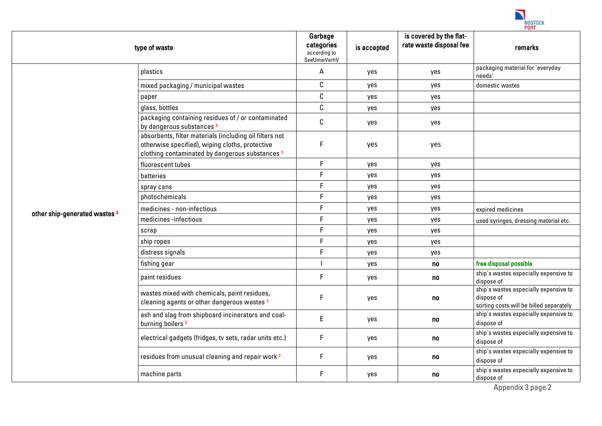

|                                          | type of waste                                                                                                                                                            | Garbage<br>categories<br>according to<br>SeeUmwVerhV | is accepted | is covered by the flat-<br>rate waste disposal fee | remarks                                                                                        |
|------------------------------------------|--------------------------------------------------------------------------------------------------------------------------------------------------------------------------|------------------------------------------------------|-------------|----------------------------------------------------|------------------------------------------------------------------------------------------------|
|                                          | plastics                                                                                                                                                                 | А                                                    | yes         | yes                                                | packaging material for 'everyday<br>needs'                                                     |
|                                          | mixed packaging / municipal wastes                                                                                                                                       | C                                                    | yes         | yes                                                | domestic wastes                                                                                |
|                                          | paper                                                                                                                                                                    | С                                                    | yes         | yes                                                |                                                                                                |
|                                          | glass, bottles                                                                                                                                                           | C                                                    | yes         | yes                                                |                                                                                                |
|                                          | packaging containing residues of / or contaminated<br>by dangerous substances <sup>2</sup>                                                                               | С                                                    | yes         | yes                                                |                                                                                                |
|                                          | absorbents, filter materials (including oil filters not<br>otherwise specified), wiping cloths, protective<br>clothing contaminated by dangerous substances <sup>3</sup> | F                                                    | yes         | yes                                                |                                                                                                |
|                                          | fluorescent tubes                                                                                                                                                        | $\mathsf F$                                          | yes         | yes                                                |                                                                                                |
|                                          | batteries                                                                                                                                                                | $\mathsf F$                                          | yes         | yes                                                |                                                                                                |
|                                          | spray cans                                                                                                                                                               | $\mathsf F$                                          | yes         | yes                                                |                                                                                                |
|                                          | photochemicals                                                                                                                                                           | $\mathsf F$                                          | yes         | yes                                                |                                                                                                |
| other ship-generated wastes <sup>3</sup> | medicines - non-infectious                                                                                                                                               | $\mathsf F$                                          | yes         | yes                                                | expired medicines                                                                              |
|                                          | medicines -infectious                                                                                                                                                    | $\mathsf F$                                          | yes         | yes                                                | used syringes, dressing material etc.                                                          |
|                                          | scrap                                                                                                                                                                    | $\mathsf F$                                          | yes         | yes                                                |                                                                                                |
|                                          | ship ropes                                                                                                                                                               | $\mathsf F$                                          | yes         | yes                                                |                                                                                                |
|                                          | distress signals                                                                                                                                                         | F                                                    | yes         | yes                                                |                                                                                                |
|                                          | fishing gear                                                                                                                                                             |                                                      | yes         | no                                                 | free disposal possible                                                                         |
|                                          | paint residues                                                                                                                                                           | $\mathsf F$                                          | yes         | no                                                 | ship's wastes especially expensive to<br>dispose of                                            |
|                                          | wastes mixed with chemicals, paint residues,<br>cleaning agents or other dangerous wastes <sup>2</sup>                                                                   | F                                                    | yes         | no                                                 | ship's wastes especially expensive to<br>dispose of<br>sorting costs will be billed separately |
|                                          | ash and slag from shipboard incinerators and coal-<br>burning boilers <sup>2</sup>                                                                                       | E                                                    | yes         | no                                                 | ship's wastes especially expensive to<br>dispose of                                            |
|                                          | electrical gadgets (fridges, tv sets, radar units etc.)                                                                                                                  | $\mathsf F$                                          | yes         | no                                                 | ship's wastes especially expensive to<br>dispose of                                            |
|                                          | residues from unusual cleaning and repair work <sup>2</sup>                                                                                                              | $\mathsf F$                                          | yes         | no                                                 | ship's wastes especially expensive to<br>dispose of                                            |
|                                          | machine parts                                                                                                                                                            | $\mathsf F$                                          | yes         | no                                                 | ship's wastes especially expensive to<br>dispose of                                            |

Appendix 3 page 2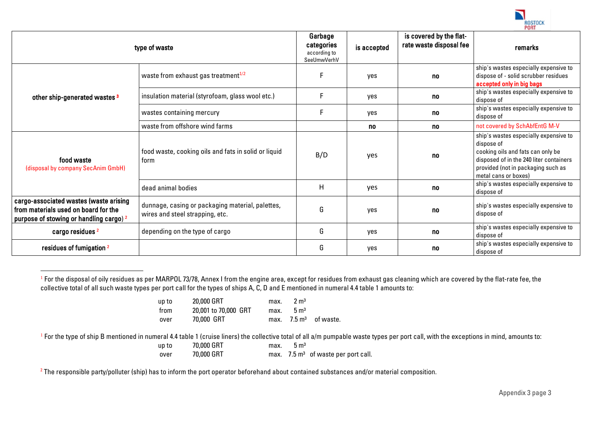

|                                                                                                                                      | type of waste                                                                       | Garbage<br>categories<br>according to<br>SeeUmwVerhV | is accepted | is covered by the flat-<br>rate waste disposal fee | remarks                                                                                                                                                                                           |
|--------------------------------------------------------------------------------------------------------------------------------------|-------------------------------------------------------------------------------------|------------------------------------------------------|-------------|----------------------------------------------------|---------------------------------------------------------------------------------------------------------------------------------------------------------------------------------------------------|
|                                                                                                                                      | waste from exhaust gas treatment <sup>1/2</sup>                                     |                                                      | yes         | no                                                 | ship's wastes especially expensive to<br>dispose of - solid scrubber residues<br>accepted only in big bags                                                                                        |
| other ship-generated wastes 3                                                                                                        | insulation material (styrofoam, glass wool etc.)                                    |                                                      | yes         | no                                                 | ship's wastes especially expensive to<br>dispose of                                                                                                                                               |
|                                                                                                                                      | wastes containing mercury                                                           |                                                      | yes         | no                                                 | ship's wastes especially expensive to<br>dispose of                                                                                                                                               |
|                                                                                                                                      | waste from offshore wind farms                                                      |                                                      | no          | no.                                                | not covered by SchAbfEntG M-V                                                                                                                                                                     |
| food waste<br>(disposal by company SecAnim GmbH)                                                                                     | food waste, cooking oils and fats in solid or liquid<br>form                        | B/D                                                  | yes         | no                                                 | ship's wastes especially expensive to<br>dispose of<br>cooking oils and fats can only be<br>disposed of in the 240 liter containers<br>provided (not in packaging such as<br>metal cans or boxes) |
|                                                                                                                                      | dead animal bodies                                                                  | H                                                    | yes         | no                                                 | ship's wastes especially expensive to<br>dispose of                                                                                                                                               |
| cargo-associated wastes (waste arising<br>from materials used on board for the<br>purpose of stowing or handling cargo) <sup>2</sup> | dunnage, casing or packaging material, palettes,<br>wires and steel strapping, etc. | G                                                    | yes         | no                                                 | ship's wastes especially expensive to<br>dispose of                                                                                                                                               |
| cargo residues <sup>2</sup>                                                                                                          | depending on the type of cargo                                                      | G                                                    | yes         | no                                                 | ship's wastes especially expensive to<br>dispose of                                                                                                                                               |
| residues of fumigation <sup>2</sup>                                                                                                  |                                                                                     | G                                                    | yes         | no                                                 | ship's wastes especially expensive to<br>dispose of                                                                                                                                               |

<sup>&</sup>lt;sup>1</sup> For the disposal of oily residues as per MARPOL 73/78, Annex I from the engine area, except for residues from exhaust gas cleaning which are covered by the flat-rate fee, the collective total of all such waste types per port call for the types of ships A, C, D and E mentioned in numeral 4.4 table 1 amounts to:

| up to | 20,000 GRT           | max. | $2 \text{ m}^3$ |                                  |
|-------|----------------------|------|-----------------|----------------------------------|
| from  | 20,001 to 70,000 GRT | max. | $5 \text{ m}^3$ |                                  |
| over  | 70,000 GRT           |      |                 | max. $7.5 \text{ m}^3$ of waste. |

<sup>1</sup> For the type of ship B mentioned in numeral 4.4 table 1 (cruise liners) the collective total of all a/m pumpable waste types per port call, with the exceptions in mind, amounts to:

up to  $70,000$  GRT max.  $5 \text{ m}^3$ 

1

over 70,000 GRT max. 7.5 m<sup>3</sup> of waste per port call.

 $2$  The responsible party/polluter (ship) has to inform the port operator beforehand about contained substances and/or material composition.